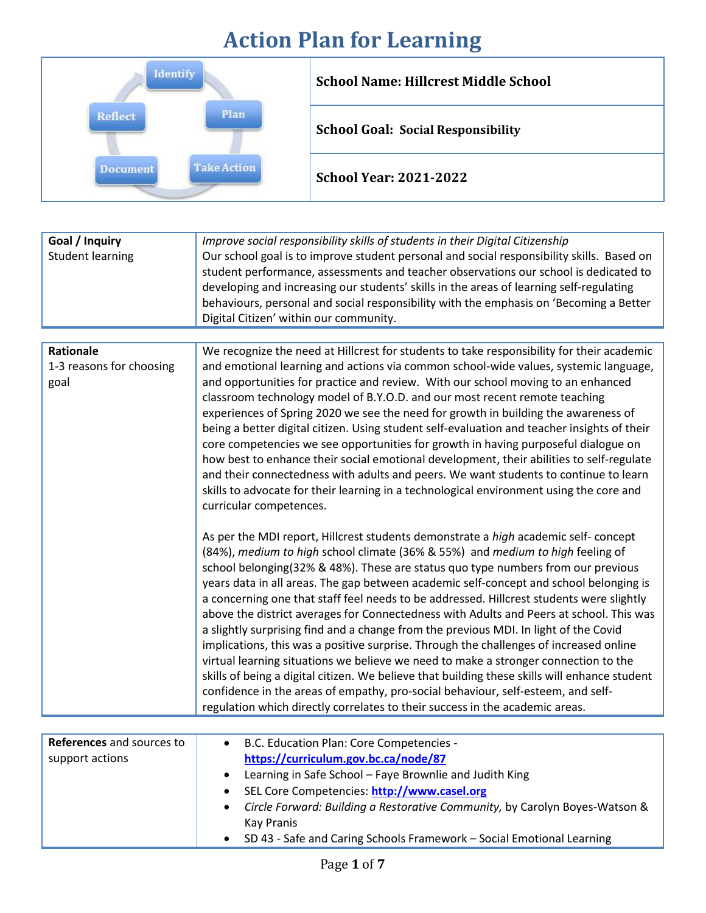## **Action Plan for Learning**

|                               | <b>School Name: Hillcrest Middle School</b> |
|-------------------------------|---------------------------------------------|
| Plan<br>Reflect               | <b>School Goal: Social Responsibility</b>   |
| <b>Take Action</b><br>ocument | <b>School Year: 2021-2022</b>               |

| Goal / Inquiry<br><b>Student learning</b>            | Improve social responsibility skills of students in their Digital Citizenship<br>Our school goal is to improve student personal and social responsibility skills. Based on<br>student performance, assessments and teacher observations our school is dedicated to<br>developing and increasing our students' skills in the areas of learning self-regulating<br>behaviours, personal and social responsibility with the emphasis on 'Becoming a Better<br>Digital Citizen' within our community.                                                                                                                                                                                                                                                                                                                                                                                                                                                                                                                                                                                        |
|------------------------------------------------------|------------------------------------------------------------------------------------------------------------------------------------------------------------------------------------------------------------------------------------------------------------------------------------------------------------------------------------------------------------------------------------------------------------------------------------------------------------------------------------------------------------------------------------------------------------------------------------------------------------------------------------------------------------------------------------------------------------------------------------------------------------------------------------------------------------------------------------------------------------------------------------------------------------------------------------------------------------------------------------------------------------------------------------------------------------------------------------------|
|                                                      |                                                                                                                                                                                                                                                                                                                                                                                                                                                                                                                                                                                                                                                                                                                                                                                                                                                                                                                                                                                                                                                                                          |
| <b>Rationale</b><br>1-3 reasons for choosing<br>goal | We recognize the need at Hillcrest for students to take responsibility for their academic<br>and emotional learning and actions via common school-wide values, systemic language,<br>and opportunities for practice and review. With our school moving to an enhanced<br>classroom technology model of B.Y.O.D. and our most recent remote teaching<br>experiences of Spring 2020 we see the need for growth in building the awareness of<br>being a better digital citizen. Using student self-evaluation and teacher insights of their<br>core competencies we see opportunities for growth in having purposeful dialogue on<br>how best to enhance their social emotional development, their abilities to self-regulate<br>and their connectedness with adults and peers. We want students to continue to learn<br>skills to advocate for their learning in a technological environment using the core and<br>curricular competences.                                                                                                                                                 |
|                                                      | As per the MDI report, Hillcrest students demonstrate a high academic self- concept<br>(84%), medium to high school climate (36% & 55%) and medium to high feeling of<br>school belonging(32% & 48%). These are status quo type numbers from our previous<br>years data in all areas. The gap between academic self-concept and school belonging is<br>a concerning one that staff feel needs to be addressed. Hillcrest students were slightly<br>above the district averages for Connectedness with Adults and Peers at school. This was<br>a slightly surprising find and a change from the previous MDI. In light of the Covid<br>implications, this was a positive surprise. Through the challenges of increased online<br>virtual learning situations we believe we need to make a stronger connection to the<br>skills of being a digital citizen. We believe that building these skills will enhance student<br>confidence in the areas of empathy, pro-social behaviour, self-esteem, and self-<br>regulation which directly correlates to their success in the academic areas. |

|  | References and sources to<br>support actions | B.C. Education Plan: Core Competencies -<br>٠<br>https://curriculum.gov.bc.ca/node/87<br>Learning in Safe School - Faye Brownlie and Judith King<br>$\bullet$<br>SEL Core Competencies: http://www.casel.org<br>$\bullet$<br>Circle Forward: Building a Restorative Community, by Carolyn Boyes-Watson &<br>$\bullet$<br>Kay Pranis<br>SD 43 - Safe and Caring Schools Framework - Social Emotional Learning<br>$\bullet$ |
|--|----------------------------------------------|---------------------------------------------------------------------------------------------------------------------------------------------------------------------------------------------------------------------------------------------------------------------------------------------------------------------------------------------------------------------------------------------------------------------------|
|--|----------------------------------------------|---------------------------------------------------------------------------------------------------------------------------------------------------------------------------------------------------------------------------------------------------------------------------------------------------------------------------------------------------------------------------------------------------------------------------|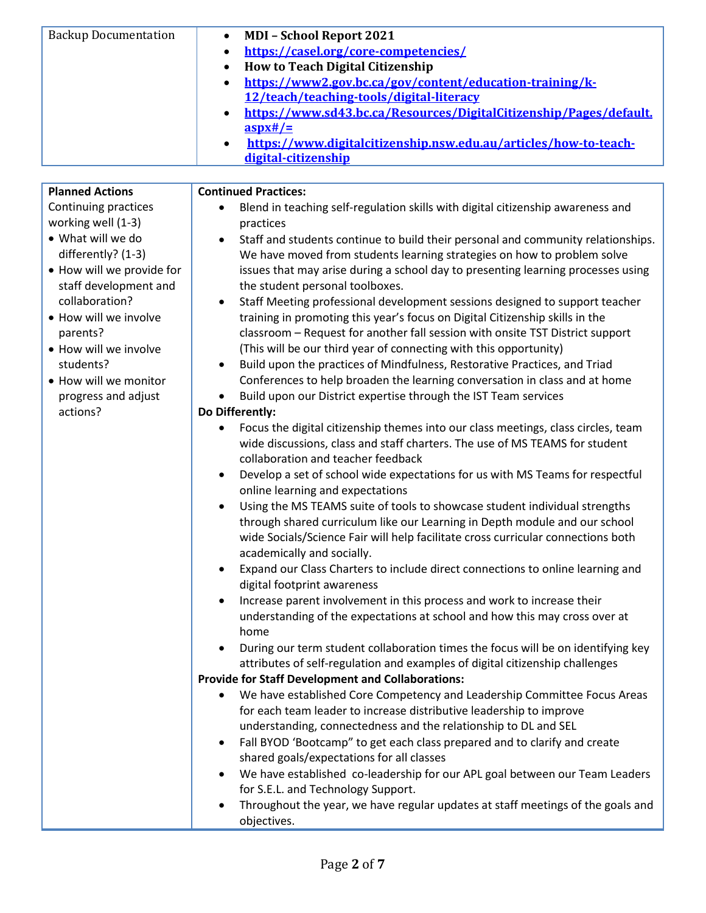| <b>Backup Documentation</b>                                                                                                                                                                                                                                                                          | <b>MDI - School Report 2021</b><br>$\bullet$<br>https://casel.org/core-competencies/<br>$\bullet$<br><b>How to Teach Digital Citizenship</b><br>$\bullet$<br>https://www2.gov.bc.ca/gov/content/education-training/k-<br>$\bullet$<br>12/teach/teaching-tools/digital-literacy<br>https://www.sd43.bc.ca/Resources/DigitalCitizenship/Pages/default.<br>$\bullet$<br>$\frac{aspx#}{=}$<br>https://www.digitalcitizenship.nsw.edu.au/articles/how-to-teach-<br>$\bullet$<br>digital-citizenship                                                                                                                                                                                                                                                                                                                                                                                                                                                                                                                                                                                                                                                                                                                                                                                                                                                                                                                                                                                                                                                                                                                                                                                                                                                                                                                                                                                                                                                                                                                                                                                                                                                                                                                                                                                                                                                                                                                                                                                                                                                                                                                                                                                                                  |
|------------------------------------------------------------------------------------------------------------------------------------------------------------------------------------------------------------------------------------------------------------------------------------------------------|-----------------------------------------------------------------------------------------------------------------------------------------------------------------------------------------------------------------------------------------------------------------------------------------------------------------------------------------------------------------------------------------------------------------------------------------------------------------------------------------------------------------------------------------------------------------------------------------------------------------------------------------------------------------------------------------------------------------------------------------------------------------------------------------------------------------------------------------------------------------------------------------------------------------------------------------------------------------------------------------------------------------------------------------------------------------------------------------------------------------------------------------------------------------------------------------------------------------------------------------------------------------------------------------------------------------------------------------------------------------------------------------------------------------------------------------------------------------------------------------------------------------------------------------------------------------------------------------------------------------------------------------------------------------------------------------------------------------------------------------------------------------------------------------------------------------------------------------------------------------------------------------------------------------------------------------------------------------------------------------------------------------------------------------------------------------------------------------------------------------------------------------------------------------------------------------------------------------------------------------------------------------------------------------------------------------------------------------------------------------------------------------------------------------------------------------------------------------------------------------------------------------------------------------------------------------------------------------------------------------------------------------------------------------------------------------------------------------|
| <b>Planned Actions</b>                                                                                                                                                                                                                                                                               | <b>Continued Practices:</b>                                                                                                                                                                                                                                                                                                                                                                                                                                                                                                                                                                                                                                                                                                                                                                                                                                                                                                                                                                                                                                                                                                                                                                                                                                                                                                                                                                                                                                                                                                                                                                                                                                                                                                                                                                                                                                                                                                                                                                                                                                                                                                                                                                                                                                                                                                                                                                                                                                                                                                                                                                                                                                                                                     |
| Continuing practices<br>working well (1-3)<br>• What will we do<br>differently? (1-3)<br>• How will we provide for<br>staff development and<br>collaboration?<br>• How will we involve<br>parents?<br>• How will we involve<br>students?<br>• How will we monitor<br>progress and adjust<br>actions? | Blend in teaching self-regulation skills with digital citizenship awareness and<br>practices<br>Staff and students continue to build their personal and community relationships.<br>$\bullet$<br>We have moved from students learning strategies on how to problem solve<br>issues that may arise during a school day to presenting learning processes using<br>the student personal toolboxes.<br>Staff Meeting professional development sessions designed to support teacher<br>$\bullet$<br>training in promoting this year's focus on Digital Citizenship skills in the<br>classroom - Request for another fall session with onsite TST District support<br>(This will be our third year of connecting with this opportunity)<br>Build upon the practices of Mindfulness, Restorative Practices, and Triad<br>$\bullet$<br>Conferences to help broaden the learning conversation in class and at home<br>Build upon our District expertise through the IST Team services<br>Do Differently:<br>Focus the digital citizenship themes into our class meetings, class circles, team<br>$\bullet$<br>wide discussions, class and staff charters. The use of MS TEAMS for student<br>collaboration and teacher feedback<br>Develop a set of school wide expectations for us with MS Teams for respectful<br>$\bullet$<br>online learning and expectations<br>Using the MS TEAMS suite of tools to showcase student individual strengths<br>$\bullet$<br>through shared curriculum like our Learning in Depth module and our school<br>wide Socials/Science Fair will help facilitate cross curricular connections both<br>academically and socially.<br>Expand our Class Charters to include direct connections to online learning and<br>$\bullet$<br>digital footprint awareness<br>Increase parent involvement in this process and work to increase their<br>$\bullet$<br>understanding of the expectations at school and how this may cross over at<br>home<br>During our term student collaboration times the focus will be on identifying key<br>$\bullet$<br>attributes of self-regulation and examples of digital citizenship challenges<br><b>Provide for Staff Development and Collaborations:</b><br>We have established Core Competency and Leadership Committee Focus Areas<br>٠<br>for each team leader to increase distributive leadership to improve<br>understanding, connectedness and the relationship to DL and SEL<br>Fall BYOD 'Bootcamp" to get each class prepared and to clarify and create<br>$\bullet$<br>shared goals/expectations for all classes<br>We have established co-leadership for our APL goal between our Team Leaders<br>$\bullet$<br>for S.E.L. and Technology Support. |
|                                                                                                                                                                                                                                                                                                      | Throughout the year, we have regular updates at staff meetings of the goals and<br>٠<br>objectives.                                                                                                                                                                                                                                                                                                                                                                                                                                                                                                                                                                                                                                                                                                                                                                                                                                                                                                                                                                                                                                                                                                                                                                                                                                                                                                                                                                                                                                                                                                                                                                                                                                                                                                                                                                                                                                                                                                                                                                                                                                                                                                                                                                                                                                                                                                                                                                                                                                                                                                                                                                                                             |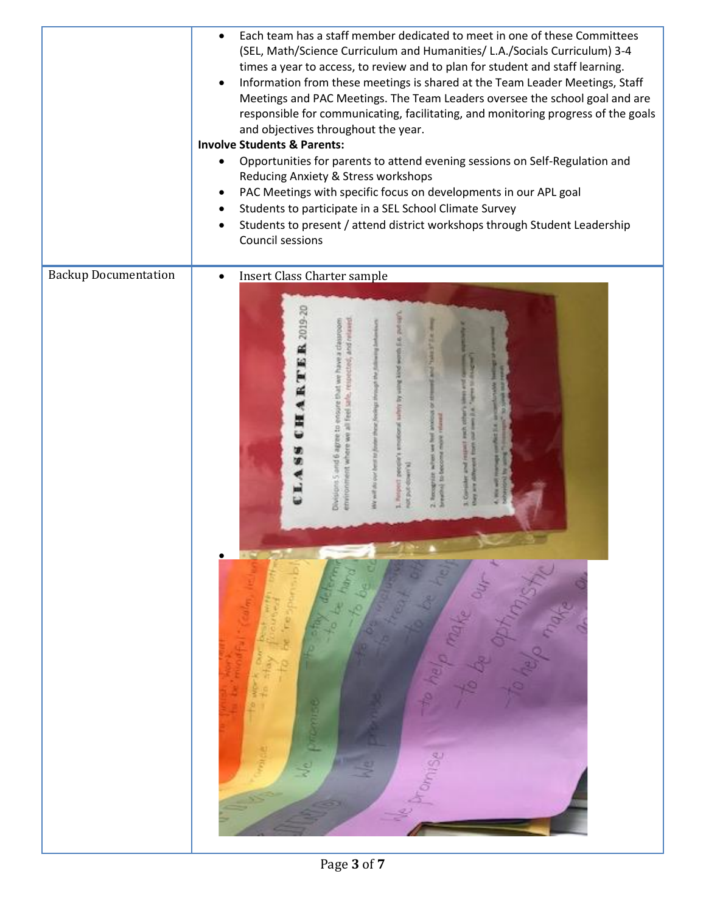|                             | Each team has a staff member dedicated to meet in one of these Committees<br>(SEL, Math/Science Curriculum and Humanities/ L.A./Socials Curriculum) 3-4<br>times a year to access, to review and to plan for student and staff learning.<br>Information from these meetings is shared at the Team Leader Meetings, Staff<br>٠<br>Meetings and PAC Meetings. The Team Leaders oversee the school goal and are<br>responsible for communicating, facilitating, and monitoring progress of the goals<br>and objectives throughout the year.<br><b>Involve Students &amp; Parents:</b><br>Opportunities for parents to attend evening sessions on Self-Regulation and<br>٠<br>Reducing Anxiety & Stress workshops<br>PAC Meetings with specific focus on developments in our APL goal<br>$\bullet$<br>Students to participate in a SEL School Climate Survey<br>$\bullet$<br>Students to present / attend district workshops through Student Leadership<br>$\bullet$<br>Council sessions |
|-----------------------------|--------------------------------------------------------------------------------------------------------------------------------------------------------------------------------------------------------------------------------------------------------------------------------------------------------------------------------------------------------------------------------------------------------------------------------------------------------------------------------------------------------------------------------------------------------------------------------------------------------------------------------------------------------------------------------------------------------------------------------------------------------------------------------------------------------------------------------------------------------------------------------------------------------------------------------------------------------------------------------------|
| <b>Backup Documentation</b> | <b>Insert Class Charter sample</b><br>$\bullet$                                                                                                                                                                                                                                                                                                                                                                                                                                                                                                                                                                                                                                                                                                                                                                                                                                                                                                                                      |
|                             |                                                                                                                                                                                                                                                                                                                                                                                                                                                                                                                                                                                                                                                                                                                                                                                                                                                                                                                                                                                      |
|                             | <b>CHARTER</b> 2019-2                                                                                                                                                                                                                                                                                                                                                                                                                                                                                                                                                                                                                                                                                                                                                                                                                                                                                                                                                                |
|                             | LA88                                                                                                                                                                                                                                                                                                                                                                                                                                                                                                                                                                                                                                                                                                                                                                                                                                                                                                                                                                                 |
|                             |                                                                                                                                                                                                                                                                                                                                                                                                                                                                                                                                                                                                                                                                                                                                                                                                                                                                                                                                                                                      |
|                             | œ                                                                                                                                                                                                                                                                                                                                                                                                                                                                                                                                                                                                                                                                                                                                                                                                                                                                                                                                                                                    |
|                             | TO BE ON<br>To be think<br><b>CONTRACTOR</b>                                                                                                                                                                                                                                                                                                                                                                                                                                                                                                                                                                                                                                                                                                                                                                                                                                                                                                                                         |
|                             | <b>Remodel Freeman</b><br>To be going more to<br>The President Property of the Court<br>to be freighters,<br>to work our base many                                                                                                                                                                                                                                                                                                                                                                                                                                                                                                                                                                                                                                                                                                                                                                                                                                                   |
|                             | Me premise<br><b>Carlos</b><br>g                                                                                                                                                                                                                                                                                                                                                                                                                                                                                                                                                                                                                                                                                                                                                                                                                                                                                                                                                     |
|                             | Drawing                                                                                                                                                                                                                                                                                                                                                                                                                                                                                                                                                                                                                                                                                                                                                                                                                                                                                                                                                                              |
|                             |                                                                                                                                                                                                                                                                                                                                                                                                                                                                                                                                                                                                                                                                                                                                                                                                                                                                                                                                                                                      |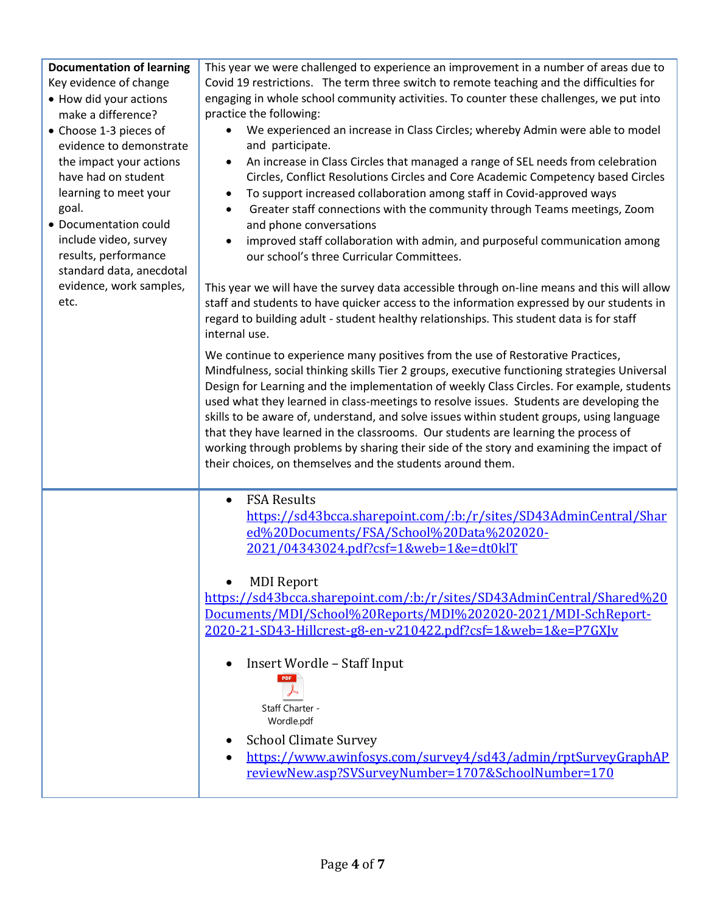**Documentation of learning** This year we were challenged to experience an improvement in a number of areas due to Key evidence of change Covid 19 restrictions. The term three switch to remote teaching and the difficulties for • How did your actions engaging in whole school community activities. To counter these challenges, we put into make a difference? practice the following: • We experienced an increase in Class Circles; whereby Admin were able to model • Choose 1-3 pieces of evidence to demonstrate and participate. • An increase in Class Circles that managed a range of SEL needs from celebration the impact your actions have had on student Circles, Conflict Resolutions Circles and Core Academic Competency based Circles learning to meet your • To support increased collaboration among staff in Covid-approved ways goal. • Greater staff connections with the community through Teams meetings, Zoom • Documentation could and phone conversations include video, survey improved staff collaboration with admin, and purposeful communication among results, performance our school's three Curricular Committees. standard data, anecdotal evidence, work samples, This year we will have the survey data accessible through on-line means and this will allow etc. staff and students to have quicker access to the information expressed by our students in regard to building adult - student healthy relationships. This student data is for staff internal use. We continue to experience many positives from the use of Restorative Practices, Mindfulness, social thinking skills Tier 2 groups, executive functioning strategies Universal Design for Learning and the implementation of weekly Class Circles. For example, students used what they learned in class-meetings to resolve issues. Students are developing the skills to be aware of, understand, and solve issues within student groups, using language that they have learned in the classrooms. Our students are learning the process of working through problems by sharing their side of the story and examining the impact of their choices, on themselves and the students around them. • FSA Results [https://sd43bcca.sharepoint.com/:b:/r/sites/SD43AdminCentral/Shar](https://sd43bcca.sharepoint.com/:b:/r/sites/SD43AdminCentral/Shared%20Documents/FSA/School%20Data%202020-2021/04343024.pdf?csf=1&web=1&e=dt0klT) [ed%20Documents/FSA/School%20Data%202020-](https://sd43bcca.sharepoint.com/:b:/r/sites/SD43AdminCentral/Shared%20Documents/FSA/School%20Data%202020-2021/04343024.pdf?csf=1&web=1&e=dt0klT) [2021/04343024.pdf?csf=1&web=1&e=dt0klT](https://sd43bcca.sharepoint.com/:b:/r/sites/SD43AdminCentral/Shared%20Documents/FSA/School%20Data%202020-2021/04343024.pdf?csf=1&web=1&e=dt0klT) • MDI Report [https://sd43bcca.sharepoint.com/:b:/r/sites/SD43AdminCentral/Shared%20](https://sd43bcca.sharepoint.com/:b:/r/sites/SD43AdminCentral/Shared%20Documents/MDI/School%20Reports/MDI%202020-2021/MDI-SchReport-2020-21-SD43-Hillcrest-g8-en-v210422.pdf?csf=1&web=1&e=P7GXJv) [Documents/MDI/School%20Reports/MDI%202020-2021/MDI-SchReport-](https://sd43bcca.sharepoint.com/:b:/r/sites/SD43AdminCentral/Shared%20Documents/MDI/School%20Reports/MDI%202020-2021/MDI-SchReport-2020-21-SD43-Hillcrest-g8-en-v210422.pdf?csf=1&web=1&e=P7GXJv)[2020-21-SD43-Hillcrest-g8-en-v210422.pdf?csf=1&web=1&e=P7GXJv](https://sd43bcca.sharepoint.com/:b:/r/sites/SD43AdminCentral/Shared%20Documents/MDI/School%20Reports/MDI%202020-2021/MDI-SchReport-2020-21-SD43-Hillcrest-g8-en-v210422.pdf?csf=1&web=1&e=P7GXJv) • Insert Wordle – Staff Input **PDF** Staff Charter - Wordle.pdf • School Climate Survey • [https://www.awinfosys.com/survey4/sd43/admin/rptSurveyGraphAP](https://www.awinfosys.com/survey4/sd43/admin/rptSurveyGraphAPreviewNew.asp?SVSurveyNumber=1707&SchoolNumber=170) [reviewNew.asp?SVSurveyNumber=1707&SchoolNumber=170](https://www.awinfosys.com/survey4/sd43/admin/rptSurveyGraphAPreviewNew.asp?SVSurveyNumber=1707&SchoolNumber=170)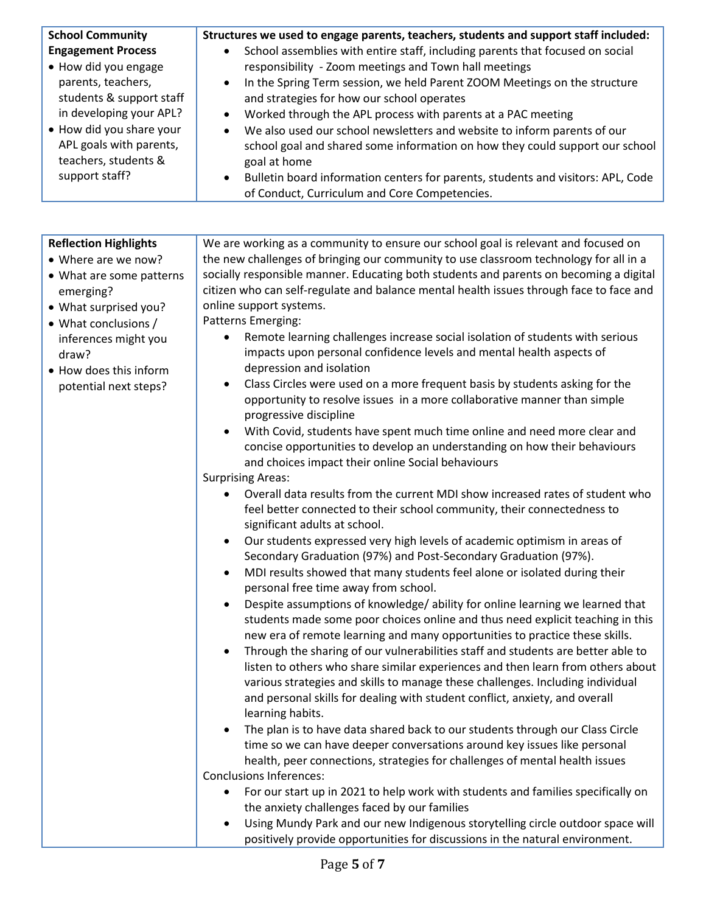| <b>School Community</b><br><b>Engagement Process</b><br>• How did you engage<br>parents, teachers,<br>students & support staff<br>in developing your APL?<br>• How did you share your<br>APL goals with parents,<br>teachers, students &<br>support staff? | Structures we used to engage parents, teachers, students and support staff included:<br>School assemblies with entire staff, including parents that focused on social<br>responsibility - Zoom meetings and Town hall meetings<br>In the Spring Term session, we held Parent ZOOM Meetings on the structure<br>$\bullet$<br>and strategies for how our school operates<br>Worked through the APL process with parents at a PAC meeting<br>$\bullet$<br>We also used our school newsletters and website to inform parents of our<br>$\bullet$<br>school goal and shared some information on how they could support our school<br>goal at home<br>Bulletin board information centers for parents, students and visitors: APL, Code<br>$\bullet$<br>of Conduct, Curriculum and Core Competencies.                                                                                                                                                                                                                                                                                                                                                                                                                                                                                                                                                                                                                                                                                                                                                                                                                                                                                                                                                                                                                                                                                                                                                                                                                                                                                                                                                                                                                                                                                                                                                                                                                                                                                                                                                                                                                                                                                                                                  |
|------------------------------------------------------------------------------------------------------------------------------------------------------------------------------------------------------------------------------------------------------------|---------------------------------------------------------------------------------------------------------------------------------------------------------------------------------------------------------------------------------------------------------------------------------------------------------------------------------------------------------------------------------------------------------------------------------------------------------------------------------------------------------------------------------------------------------------------------------------------------------------------------------------------------------------------------------------------------------------------------------------------------------------------------------------------------------------------------------------------------------------------------------------------------------------------------------------------------------------------------------------------------------------------------------------------------------------------------------------------------------------------------------------------------------------------------------------------------------------------------------------------------------------------------------------------------------------------------------------------------------------------------------------------------------------------------------------------------------------------------------------------------------------------------------------------------------------------------------------------------------------------------------------------------------------------------------------------------------------------------------------------------------------------------------------------------------------------------------------------------------------------------------------------------------------------------------------------------------------------------------------------------------------------------------------------------------------------------------------------------------------------------------------------------------------------------------------------------------------------------------------------------------------------------------------------------------------------------------------------------------------------------------------------------------------------------------------------------------------------------------------------------------------------------------------------------------------------------------------------------------------------------------------------------------------------------------------------------------------------------------|
|                                                                                                                                                                                                                                                            |                                                                                                                                                                                                                                                                                                                                                                                                                                                                                                                                                                                                                                                                                                                                                                                                                                                                                                                                                                                                                                                                                                                                                                                                                                                                                                                                                                                                                                                                                                                                                                                                                                                                                                                                                                                                                                                                                                                                                                                                                                                                                                                                                                                                                                                                                                                                                                                                                                                                                                                                                                                                                                                                                                                                 |
| <b>Reflection Highlights</b><br>• Where are we now?<br>• What are some patterns<br>emerging?<br>• What surprised you?<br>• What conclusions /<br>inferences might you<br>draw?<br>• How does this inform<br>potential next steps?                          | We are working as a community to ensure our school goal is relevant and focused on<br>the new challenges of bringing our community to use classroom technology for all in a<br>socially responsible manner. Educating both students and parents on becoming a digital<br>citizen who can self-regulate and balance mental health issues through face to face and<br>online support systems.<br>Patterns Emerging:<br>Remote learning challenges increase social isolation of students with serious<br>٠<br>impacts upon personal confidence levels and mental health aspects of<br>depression and isolation<br>Class Circles were used on a more frequent basis by students asking for the<br>٠<br>opportunity to resolve issues in a more collaborative manner than simple<br>progressive discipline<br>With Covid, students have spent much time online and need more clear and<br>concise opportunities to develop an understanding on how their behaviours<br>and choices impact their online Social behaviours<br><b>Surprising Areas:</b><br>Overall data results from the current MDI show increased rates of student who<br>feel better connected to their school community, their connectedness to<br>significant adults at school.<br>Our students expressed very high levels of academic optimism in areas of<br>Secondary Graduation (97%) and Post-Secondary Graduation (97%).<br>MDI results showed that many students feel alone or isolated during their<br>$\bullet$<br>personal free time away from school.<br>Despite assumptions of knowledge/ ability for online learning we learned that<br>students made some poor choices online and thus need explicit teaching in this<br>new era of remote learning and many opportunities to practice these skills.<br>Through the sharing of our vulnerabilities staff and students are better able to<br>listen to others who share similar experiences and then learn from others about<br>various strategies and skills to manage these challenges. Including individual<br>and personal skills for dealing with student conflict, anxiety, and overall<br>learning habits.<br>The plan is to have data shared back to our students through our Class Circle<br>time so we can have deeper conversations around key issues like personal<br>health, peer connections, strategies for challenges of mental health issues<br><b>Conclusions Inferences:</b><br>For our start up in 2021 to help work with students and families specifically on<br>the anxiety challenges faced by our families<br>Using Mundy Park and our new Indigenous storytelling circle outdoor space will<br>positively provide opportunities for discussions in the natural environment. |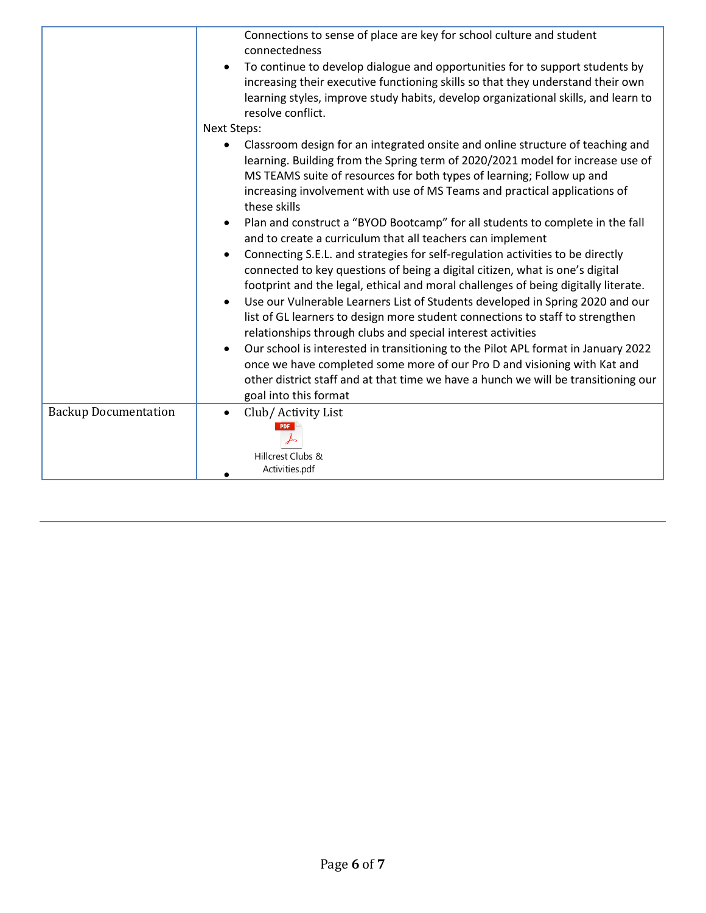| Connections to sense of place are key for school culture and student                                                                                                                                                                                                                                                                                                                                                                                                                               |
|----------------------------------------------------------------------------------------------------------------------------------------------------------------------------------------------------------------------------------------------------------------------------------------------------------------------------------------------------------------------------------------------------------------------------------------------------------------------------------------------------|
| connectedness<br>To continue to develop dialogue and opportunities for to support students by<br>increasing their executive functioning skills so that they understand their own<br>learning styles, improve study habits, develop organizational skills, and learn to<br>resolve conflict.                                                                                                                                                                                                        |
| <b>Next Steps:</b>                                                                                                                                                                                                                                                                                                                                                                                                                                                                                 |
| Classroom design for an integrated onsite and online structure of teaching and<br>learning. Building from the Spring term of 2020/2021 model for increase use of<br>MS TEAMS suite of resources for both types of learning; Follow up and<br>increasing involvement with use of MS Teams and practical applications of<br>these skills                                                                                                                                                             |
| Plan and construct a "BYOD Bootcamp" for all students to complete in the fall<br>and to create a curriculum that all teachers can implement                                                                                                                                                                                                                                                                                                                                                        |
| Connecting S.E.L. and strategies for self-regulation activities to be directly<br>connected to key questions of being a digital citizen, what is one's digital<br>footprint and the legal, ethical and moral challenges of being digitally literate.<br>Use our Vulnerable Learners List of Students developed in Spring 2020 and our<br>$\bullet$<br>list of GL learners to design more student connections to staff to strengthen<br>relationships through clubs and special interest activities |
| Our school is interested in transitioning to the Pilot APL format in January 2022<br>once we have completed some more of our Pro D and visioning with Kat and<br>other district staff and at that time we have a hunch we will be transitioning our<br>goal into this format                                                                                                                                                                                                                       |
| Club/ Activity List<br>$\bullet$<br>Hillcrest Clubs &<br>Activities.pdf                                                                                                                                                                                                                                                                                                                                                                                                                            |
|                                                                                                                                                                                                                                                                                                                                                                                                                                                                                                    |